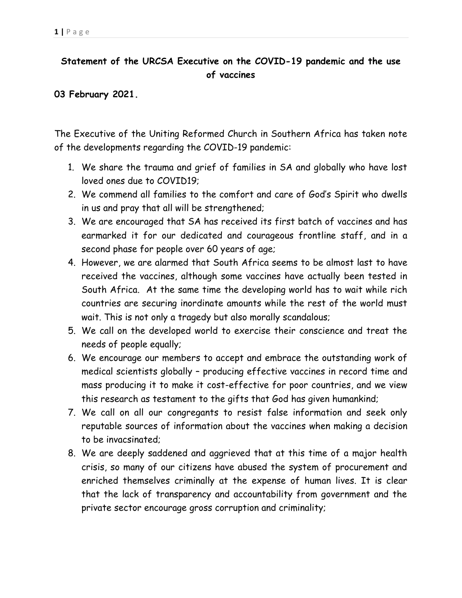## **Statement of the URCSA Executive on the COVID-19 pandemic and the use of vaccines**

## **03 February 2021.**

The Executive of the Uniting Reformed Church in Southern Africa has taken note of the developments regarding the COVID-19 pandemic:

- 1. We share the trauma and grief of families in SA and globally who have lost loved ones due to COVID19;
- 2. We commend all families to the comfort and care of God's Spirit who dwells in us and pray that all will be strengthened;
- 3. We are encouraged that SA has received its first batch of vaccines and has earmarked it for our dedicated and courageous frontline staff, and in a second phase for people over 60 years of age;
- 4. However, we are alarmed that South Africa seems to be almost last to have received the vaccines, although some vaccines have actually been tested in South Africa. At the same time the developing world has to wait while rich countries are securing inordinate amounts while the rest of the world must wait. This is not only a tragedy but also morally scandalous;
- 5. We call on the developed world to exercise their conscience and treat the needs of people equally;
- 6. We encourage our members to accept and embrace the outstanding work of medical scientists globally – producing effective vaccines in record time and mass producing it to make it cost-effective for poor countries, and we view this research as testament to the gifts that God has given humankind;
- 7. We call on all our congregants to resist false information and seek only reputable sources of information about the vaccines when making a decision to be invacsinated;
- 8. We are deeply saddened and aggrieved that at this time of a major health crisis, so many of our citizens have abused the system of procurement and enriched themselves criminally at the expense of human lives. It is clear that the lack of transparency and accountability from government and the private sector encourage gross corruption and criminality;